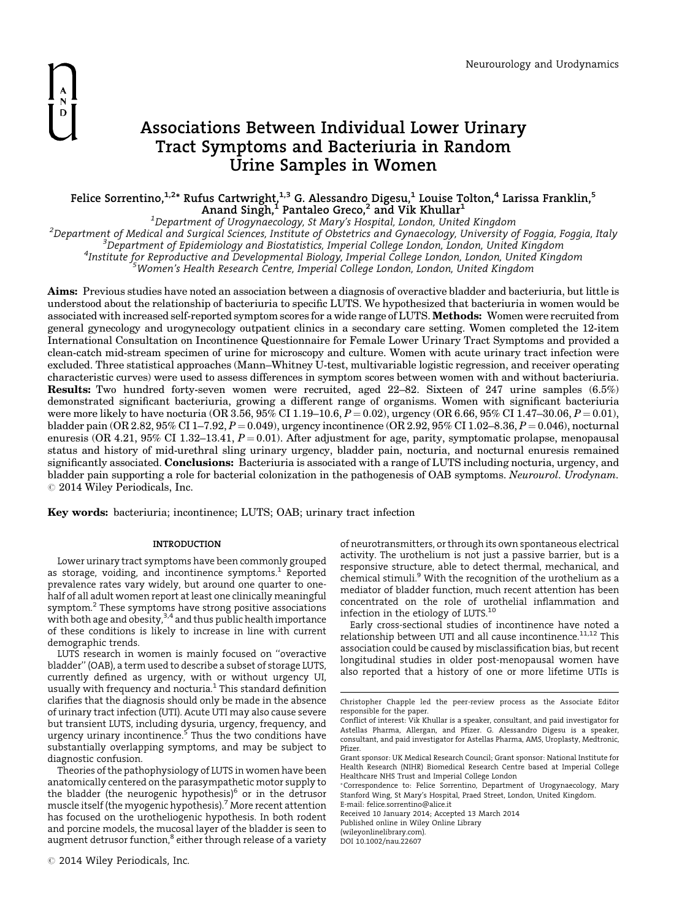

# Associations Between Individual Lower Urinary Tract Symptoms and Bacteriuria in Random Urine Samples in Women

# Felice Sorrentino, $^{1,2\ast}$  Rufus Cartwright, $^{1,3}$  G. Alessandro Digesu, $^1$  Louise Tolton, $^4$  Larissa Franklin, $^5$ Anand Singh, $^{\text{1}}$  Pantaleo Greco, $^{\text{2}}$  and Vik Khullar $^{\text{1}}$

<sup>1</sup> Department of Urogynaecology, St Mary's Hospital, London, United Kingdom<br><sup>2</sup> Department of Medical and Surgical Sciences, Institute of Obstetrics and Gynaecology, University o  $^2$ Department of Medical and Surgical Sciences, Institute of Obstetrics and Gynaecology, University of Foggia, Foggia, Italy  $^3$ Department of Epidemiology and Biostatistics, Imperial College London, London, United Kingdom  $^4$ Institute for Reproductive and Developmental Biology, Imperial College London, London, United Kingdom  $^5$ Women's Health Research Centre, Imperial College London, London, United Kingdom

Aims: Previous studies have noted an association between a diagnosis of overactive bladder and bacteriuria, but little is understood about the relationship of bacteriuria to specific LUTS. We hypothesized that bacteriuria in women would be associated with increased self-reported symptom scores for a wide range of LUTS. Methods: Women were recruited from general gynecology and urogynecology outpatient clinics in a secondary care setting. Women completed the 12-item International Consultation on Incontinence Questionnaire for Female Lower Urinary Tract Symptoms and provided a clean-catch mid-stream specimen of urine for microscopy and culture. Women with acute urinary tract infection were excluded. Three statistical approaches (Mann–Whitney U-test, multivariable logistic regression, and receiver operating characteristic curves) were used to assess differences in symptom scores between women with and without bacteriuria. Results: Two hundred forty-seven women were recruited, aged 22–82. Sixteen of 247 urine samples (6.5%) demonstrated significant bacteriuria, growing a different range of organisms. Women with significant bacteriuria were more likely to have nocturia (OR 3.56, 95% CI 1.19–10.6,  $P = 0.02$ ), urgency (OR 6.66, 95% CI 1.47–30.06,  $P = 0.01$ ), bladder pain (OR 2.82, 95% CI 1–7.92,  $P = 0.049$ ), urgency incontinence (OR 2.92, 95% CI 1.02–8.36,  $P = 0.046$ ), nocturnal enuresis (OR 4.21, 95% CI 1.32–13.41,  $P = 0.01$ ). After adjustment for age, parity, symptomatic prolapse, menopausal status and history of mid-urethral sling urinary urgency, bladder pain, nocturia, and nocturnal enuresis remained significantly associated. **Conclusions:** Bacteriuria is associated with a range of LUTS including nocturia, urgency, and bladder pain supporting a role for bacterial colonization in the pathogenesis of OAB symptoms. Neurourol. Urodynam.  $\odot$  2014 Wiley Periodicals, Inc.

Key words: bacteriuria; incontinence; LUTS; OAB; urinary tract infection

# **INTRODUCTION**

Lower urinary tract symptoms have been commonly grouped as storage, voiding, and incontinence symptoms.<sup>1</sup> Reported prevalence rates vary widely, but around one quarter to onehalf of all adult women report at least one clinically meaningful symptom.<sup>2</sup> These symptoms have strong positive associations with both age and obesity, $3,4$  and thus public health importance of these conditions is likely to increase in line with current demographic trends.

LUTS research in women is mainly focused on ''overactive bladder'' (OAB), a term used to describe a subset of storage LUTS, currently defined as urgency, with or without urgency UI, usually with frequency and nocturia.<sup>1</sup> This standard definition clarifies that the diagnosis should only be made in the absence of urinary tract infection (UTI). Acute UTI may also cause severe but transient LUTS, including dysuria, urgency, frequency, and<br>urgency urinary incontinence.<sup>5</sup> Thus the two conditions have substantially overlapping symptoms, and may be subject to diagnostic confusion.

Theories of the pathophysiology of LUTS in women have been anatomically centered on the parasympathetic motor supply to the bladder (the neurogenic hypothesis) $6$  or in the detrusor muscle itself (the myogenic hypothesis).7 More recent attention has focused on the urotheliogenic hypothesis. In both rodent and porcine models, the mucosal layer of the bladder is seen to augment detrusor function,<sup>8</sup> either through release of a variety

of neurotransmitters, or through its own spontaneous electrical activity. The urothelium is not just a passive barrier, but is a responsive structure, able to detect thermal, mechanical, and chemical stimuli.<sup>9</sup> With the recognition of the urothelium as a mediator of bladder function, much recent attention has been concentrated on the role of urothelial inflammation and infection in the etiology of LUTS.<sup>10</sup>

Early cross-sectional studies of incontinence have noted a relationship between UTI and all cause incontinence. $^{\rm 11,12}$  This association could be caused by misclassification bias, but recent longitudinal studies in older post-menopausal women have also reported that a history of one or more lifetime UTIs is

-Correspondence to: Felice Sorrentino, Department of Urogynaecology, Mary Stanford Wing, St Mary's Hospital, Praed Street, London, United Kingdom. E-mail: felice.sorrentino@alice.it

Received 10 January 2014; Accepted 13 March 2014

Published online in Wiley Online Library

(wileyonlinelibrary.com).

DOI 10.1002/nau.22607

Christopher Chapple led the peer-review process as the Associate Editor responsible for the paper.

Conflict of interest: Vik Khullar is a speaker, consultant, and paid investigator for Astellas Pharma, Allergan, and Pfizer. G. Alessandro Digesu is a speaker, consultant, and paid investigator for Astellas Pharma, AMS, Uroplasty, Medtronic, Pfizer.

Grant sponsor: UK Medical Research Council; Grant sponsor: National Institute for Health Research (NIHR) Biomedical Research Centre based at Imperial College Healthcare NHS Trust and Imperial College London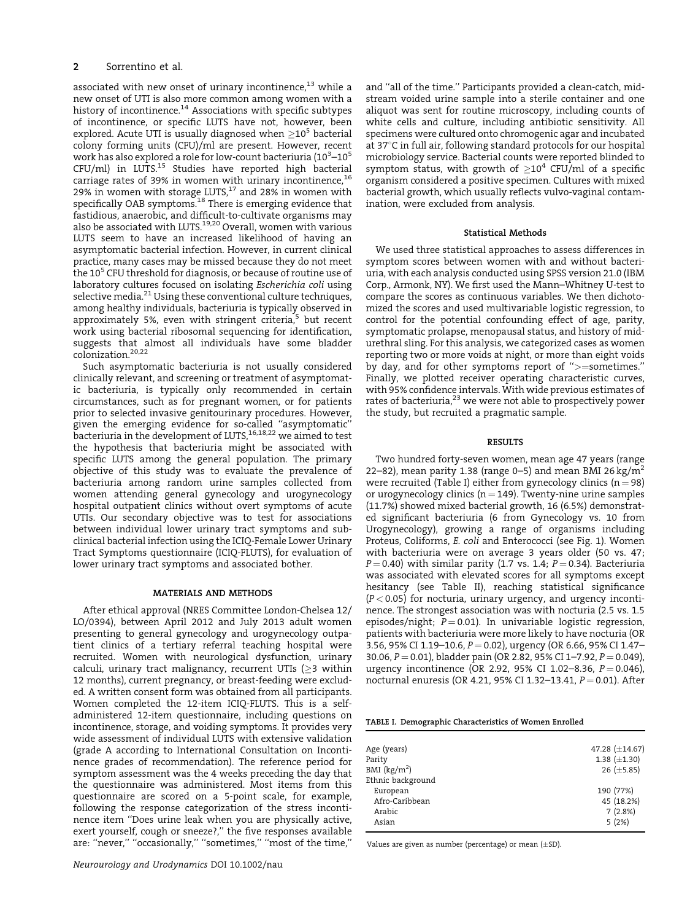# 2 Sorrentino et al.

associated with new onset of urinary incontinence, $13$  while a new onset of UTI is also more common among women with a history of incontinence.<sup>14</sup> Associations with specific subtypes of incontinence, or specific LUTS have not, however, been explored. Acute UTI is usually diagnosed when  $\geq 10^5$  bacterial colony forming units (CFU)/ml are present. However, recent work has also explored a role for low-count bacteriuria (10 $3-10^5$  $CFU/ml$ ) in LUTS. $15$  Studies have reported high bacterial carriage rates of 39% in women with urinary incontinence,  $16$ 29% in women with storage LUTS, $^{17}$  and 28% in women with specifically OAB symptoms.<sup>18</sup> There is emerging evidence that fastidious, anaerobic, and difficult-to-cultivate organisms may also be associated with LUTS.<sup>19,20</sup> Overall, women with various LUTS seem to have an increased likelihood of having an asymptomatic bacterial infection. However, in current clinical practice, many cases may be missed because they do not meet the 10<sup>5</sup> CFU threshold for diagnosis, or because of routine use of laboratory cultures focused on isolating Escherichia coli using selective media.<sup>21</sup> Using these conventional culture techniques, among healthy individuals, bacteriuria is typically observed in approximately 5%, even with stringent criteria,<sup>5</sup> but recent work using bacterial ribosomal sequencing for identification, suggests that almost all individuals have some bladder colonization.20,22

Such asymptomatic bacteriuria is not usually considered clinically relevant, and screening or treatment of asymptomatic bacteriuria, is typically only recommended in certain circumstances, such as for pregnant women, or for patients prior to selected invasive genitourinary procedures. However, given the emerging evidence for so-called "asymptomatic"<br>bacteriuria in the development of LUTS,<sup>16,18,22</sup> we aimed to test the hypothesis that bacteriuria might be associated with specific LUTS among the general population. The primary objective of this study was to evaluate the prevalence of bacteriuria among random urine samples collected from women attending general gynecology and urogynecology hospital outpatient clinics without overt symptoms of acute UTIs. Our secondary objective was to test for associations between individual lower urinary tract symptoms and subclinical bacterial infection using the ICIQ-Female Lower Urinary Tract Symptoms questionnaire (ICIQ-FLUTS), for evaluation of lower urinary tract symptoms and associated bother.

# MATERIALS AND METHODS

After ethical approval (NRES Committee London-Chelsea 12/ LO/0394), between April 2012 and July 2013 adult women presenting to general gynecology and urogynecology outpatient clinics of a tertiary referral teaching hospital were recruited. Women with neurological dysfunction, urinary calculi, urinary tract malignancy, recurrent UTIs  $( \geq 3$  within 12 months), current pregnancy, or breast-feeding were excluded. A written consent form was obtained from all participants. Women completed the 12-item ICIQ-FLUTS. This is a selfadministered 12-item questionnaire, including questions on incontinence, storage, and voiding symptoms. It provides very wide assessment of individual LUTS with extensive validation (grade A according to International Consultation on Incontinence grades of recommendation). The reference period for symptom assessment was the 4 weeks preceding the day that the questionnaire was administered. Most items from this questionnaire are scored on a 5-point scale, for example, following the response categorization of the stress incontinence item ''Does urine leak when you are physically active, exert yourself, cough or sneeze?," the five responses available are: ''never,'' ''occasionally,'' ''sometimes,'' ''most of the time,''

and ''all of the time.'' Participants provided a clean-catch, midstream voided urine sample into a sterile container and one aliquot was sent for routine microscopy, including counts of white cells and culture, including antibiotic sensitivity. All specimens were cultured onto chromogenic agar and incubated at 37°C in full air, following standard protocols for our hospital microbiology service. Bacterial counts were reported blinded to symptom status, with growth of  $>10^4$  CFU/ml of a specific organism considered a positive specimen. Cultures with mixed bacterial growth, which usually reflects vulvo-vaginal contamination, were excluded from analysis.

# Statistical Methods

We used three statistical approaches to assess differences in symptom scores between women with and without bacteriuria, with each analysis conducted using SPSS version 21.0 (IBM Corp., Armonk, NY). We first used the Mann–Whitney U-test to compare the scores as continuous variables. We then dichotomized the scores and used multivariable logistic regression, to control for the potential confounding effect of age, parity, symptomatic prolapse, menopausal status, and history of midurethral sling. For this analysis, we categorized cases as women reporting two or more voids at night, or more than eight voids by day, and for other symptoms report of ">=sometimes." Finally, we plotted receiver operating characteristic curves, with 95% confidence intervals. With wide previous estimates of rates of bacteriuria, $23$  we were not able to prospectively power the study, but recruited a pragmatic sample.

#### RESULTS

Two hundred forty-seven women, mean age 47 years (range 22–82), mean parity 1.38 (range 0–5) and mean BMI 26 kg/m<sup>2</sup> were recruited (Table I) either from gynecology clinics ( $n = 98$ ) or urogynecology clinics ( $n = 149$ ). Twenty-nine urine samples (11.7%) showed mixed bacterial growth, 16 (6.5%) demonstrated significant bacteriuria (6 from Gynecology vs. 10 from Urogynecology), growing a range of organisms including Proteus, Coliforms, E. coli and Enterococci (see Fig. 1). Women with bacteriuria were on average 3 years older (50 vs. 47;  $P = 0.40$ ) with similar parity (1.7 vs. 1.4;  $P = 0.34$ ). Bacteriuria was associated with elevated scores for all symptoms except hesitancy (see Table II), reaching statistical significance  $(P<0.05)$  for nocturia, urinary urgency, and urgency incontinence. The strongest association was with nocturia (2.5 vs. 1.5 episodes/night;  $P = 0.01$ ). In univariable logistic regression, patients with bacteriuria were more likely to have nocturia (OR 3.56, 95% CI 1.19-10.6,  $P = 0.02$ ), urgency (OR 6.66, 95% CI 1.47-30.06,  $P = 0.01$ ), bladder pain (OR 2.82, 95% CI 1–7.92,  $P = 0.049$ ), urgency incontinence (OR 2.92, 95% CI 1.02–8.36,  $P = 0.046$ ), nocturnal enuresis (OR 4.21, 95% CI 1.32-13.41,  $P = 0.01$ ). After

|  | TABLE I. Demographic Characteristics of Women Enrolled |
|--|--------------------------------------------------------|
|--|--------------------------------------------------------|

| Age (years)       | 47.28 $(\pm 14.67)$ |
|-------------------|---------------------|
| Parity            | $1.38 \ (\pm 1.30)$ |
| BMI $(kg/m2)$     | 26 $(\pm 5.85)$     |
| Ethnic background |                     |
| European          | 190 (77%)           |
| Afro-Caribbean    | 45 (18.2%)          |
| Arabic            | 7(2.8%)             |
| Asian             | 5(2%)               |

Values are given as number (percentage) or mean  $(\pm SD)$ .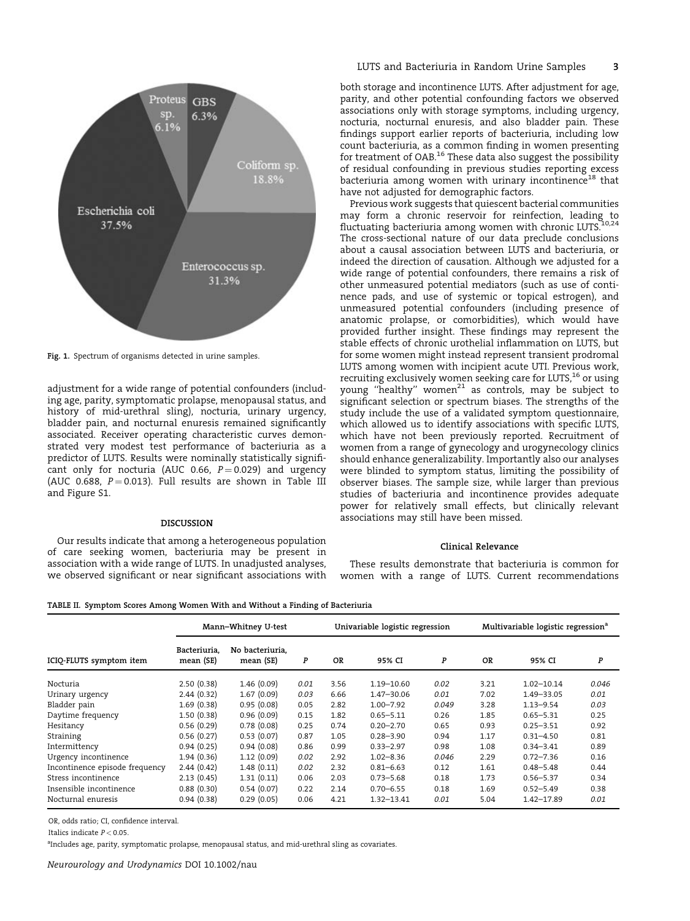

Fig. 1. Spectrum of organisms detected in urine samples.

adjustment for a wide range of potential confounders (including age, parity, symptomatic prolapse, menopausal status, and history of mid-urethral sling), nocturia, urinary urgency, bladder pain, and nocturnal enuresis remained significantly associated. Receiver operating characteristic curves demonstrated very modest test performance of bacteriuria as a predictor of LUTS. Results were nominally statistically significant only for nocturia (AUC 0.66,  $P = 0.029$ ) and urgency (AUC 0.688,  $P = 0.013$ ). Full results are shown in Table III and Figure S1.

## **DISCUSSION**

Our results indicate that among a heterogeneous population of care seeking women, bacteriuria may be present in association with a wide range of LUTS. In unadjusted analyses, we observed significant or near significant associations with both storage and incontinence LUTS. After adjustment for age, parity, and other potential confounding factors we observed associations only with storage symptoms, including urgency, nocturia, nocturnal enuresis, and also bladder pain. These findings support earlier reports of bacteriuria, including low count bacteriuria, as a common finding in women presenting for treatment of OAB.<sup>16</sup> These data also suggest the possibility of residual confounding in previous studies reporting excess bacteriuria among women with urinary incontinence<sup>18</sup> that have not adjusted for demographic factors.

Previous work suggests that quiescent bacterial communities may form a chronic reservoir for reinfection, leading to fluctuating bacteriuria among women with chronic LUTS.10,24 The cross-sectional nature of our data preclude conclusions about a causal association between LUTS and bacteriuria, or indeed the direction of causation. Although we adjusted for a wide range of potential confounders, there remains a risk of other unmeasured potential mediators (such as use of continence pads, and use of systemic or topical estrogen), and unmeasured potential confounders (including presence of anatomic prolapse, or comorbidities), which would have provided further insight. These findings may represent the stable effects of chronic urothelial inflammation on LUTS, but for some women might instead represent transient prodromal LUTS among women with incipient acute UTI. Previous work, recruiting exclusively women seeking care for LUTS,<sup>16</sup> or using young "healthy" women<sup>21</sup> as controls, may be subject to significant selection or spectrum biases. The strengths of the study include the use of a validated symptom questionnaire, which allowed us to identify associations with specific LUTS, which have not been previously reported. Recruitment of women from a range of gynecology and urogynecology clinics should enhance generalizability. Importantly also our analyses were blinded to symptom status, limiting the possibility of observer biases. The sample size, while larger than previous studies of bacteriuria and incontinence provides adequate power for relatively small effects, but clinically relevant associations may still have been missed.

#### Clinical Relevance

These results demonstrate that bacteriuria is common for women with a range of LUTS. Current recommendations

|  | TABLE II.  Symptom Scores Among Women With and Without a Finding of Bacteriuria |  |  |  |  |  |  |  |  |  |  |  |
|--|---------------------------------------------------------------------------------|--|--|--|--|--|--|--|--|--|--|--|
|--|---------------------------------------------------------------------------------|--|--|--|--|--|--|--|--|--|--|--|

|                                |                           | Mann-Whitney U-test          | Univariable logistic regression |           |                | Multivariable logistic regression <sup>a</sup> |           |                |       |
|--------------------------------|---------------------------|------------------------------|---------------------------------|-----------|----------------|------------------------------------------------|-----------|----------------|-------|
| ICIQ-FLUTS symptom item        | Bacteriuria.<br>mean (SE) | No bacteriuria,<br>mean (SE) | P                               | <b>OR</b> | 95% CI         | P                                              | <b>OR</b> | 95% CI         | P     |
| Nocturia                       | 2.50(0.38)                | 1.46(0.09)                   | 0.01                            | 3.56      | 1.19-10.60     | 0.02                                           | 3.21      | $1.02 - 10.14$ | 0.046 |
| Urinary urgency                | 2.44(0.32)                | 1.67(0.09)                   | 0.03                            | 6.66      | 1.47-30.06     | 0.01                                           | 7.02      | 1.49 - 33.05   | 0.01  |
| Bladder pain                   | 1.69(0.38)                | 0.95(0.08)                   | 0.05                            | 2.82      | $1.00 - 7.92$  | 0.049                                          | 3.28      | $1.13 - 9.54$  | 0.03  |
| Daytime frequency              | 1.50(0.38)                | 0.96(0.09)                   | 0.15                            | 1.82      | $0.65 - 5.11$  | 0.26                                           | 1.85      | $0.65 - 5.31$  | 0.25  |
| Hesitancy                      | 0.56(0.29)                | 0.78(0.08)                   | 0.25                            | 0.74      | $0.20 - 2.70$  | 0.65                                           | 0.93      | $0.25 - 3.51$  | 0.92  |
| Straining                      | 0.56(0.27)                | 0.53(0.07)                   | 0.87                            | 1.05      | $0.28 - 3.90$  | 0.94                                           | 1.17      | $0.31 - 4.50$  | 0.81  |
| Intermittency                  | 0.94(0.25)                | 0.94(0.08)                   | 0.86                            | 0.99      | $0.33 - 2.97$  | 0.98                                           | 1.08      | $0.34 - 3.41$  | 0.89  |
| Urgency incontinence           | 1.94(0.36)                | 1.12(0.09)                   | 0.02                            | 2.92      | $1.02 - 8.36$  | 0.046                                          | 2.29      | $0.72 - 7.36$  | 0.16  |
| Incontinence episode frequency | 2.44(0.42)                | 1.48(0.11)                   | 0.02                            | 2.32      | $0.81 - 6.63$  | 0.12                                           | 1.61      | $0.48 - 5.48$  | 0.44  |
| Stress incontinence            | 2.13(0.45)                | 1.31(0.11)                   | 0.06                            | 2.03      | $0.73 - 5.68$  | 0.18                                           | 1.73      | $0.56 - 5.37$  | 0.34  |
| Insensible incontinence        | 0.88(0.30)                | 0.54(0.07)                   | 0.22                            | 2.14      | $0.70 - 6.55$  | 0.18                                           | 1.69      | $0.52 - 5.49$  | 0.38  |
| Nocturnal enuresis             | 0.94(0.38)                | 0.29(0.05)                   | 0.06                            | 4.21      | $1.32 - 13.41$ | 0.01                                           | 5.04      | 1.42-17.89     | 0.01  |

OR, odds ratio; CI, confidence interval.

Italics indicate  $P < 0.05$ .

<sup>a</sup>Includes age, parity, symptomatic prolapse, menopausal status, and mid-urethral sling as covariates.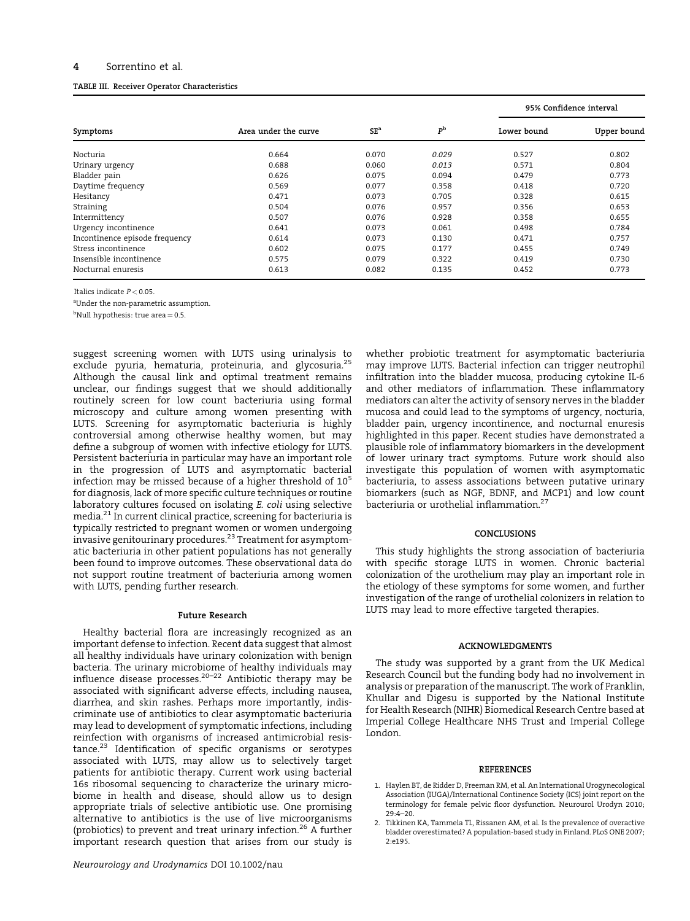# Sorrentino et al.

#### TABLE III. Receiver Operator Characteristics

|                                |                      |                 |             | 95% Confidence interval |             |  |
|--------------------------------|----------------------|-----------------|-------------|-------------------------|-------------|--|
| Symptoms                       | Area under the curve | SE <sup>a</sup> | $P^{\rm b}$ | Lower bound             | Upper bound |  |
| Nocturia                       | 0.664                | 0.070           | 0.029       | 0.527                   | 0.802       |  |
| Urinary urgency                | 0.688                | 0.060           | 0.013       | 0.571                   | 0.804       |  |
| Bladder pain                   | 0.626                | 0.075           | 0.094       | 0.479                   | 0.773       |  |
| Daytime frequency              | 0.569                | 0.077           | 0.358       | 0.418                   | 0.720       |  |
| Hesitancy                      | 0.471                | 0.073           | 0.705       | 0.328                   | 0.615       |  |
| Straining                      | 0.504                | 0.076           | 0.957       | 0.356                   | 0.653       |  |
| Intermittency                  | 0.507                | 0.076           | 0.928       | 0.358                   | 0.655       |  |
| Urgency incontinence           | 0.641                | 0.073           | 0.061       | 0.498                   | 0.784       |  |
| Incontinence episode frequency | 0.614                | 0.073           | 0.130       | 0.471                   | 0.757       |  |
| Stress incontinence            | 0.602                | 0.075           | 0.177       | 0.455                   | 0.749       |  |
| Insensible incontinence        | 0.575                | 0.079           | 0.322       | 0.419                   | 0.730       |  |
| Nocturnal enuresis             | 0.613                | 0.082           | 0.135       | 0.452                   | 0.773       |  |

Italics indicate  $P < 0.05$ .

<sup>a</sup>Under the non-parametric assumption.

 $b$ Null hypothesis: true area  $= 0.5$ .

suggest screening women with LUTS using urinalysis to exclude pyuria, hematuria, proteinuria, and glycosuria.<sup>25</sup> Although the causal link and optimal treatment remains unclear, our findings suggest that we should additionally routinely screen for low count bacteriuria using formal microscopy and culture among women presenting with LUTS. Screening for asymptomatic bacteriuria is highly controversial among otherwise healthy women, but may define a subgroup of women with infective etiology for LUTS. Persistent bacteriuria in particular may have an important role in the progression of LUTS and asymptomatic bacterial infection may be missed because of a higher threshold of  $10<sup>5</sup>$ for diagnosis, lack of more specific culture techniques or routine laboratory cultures focused on isolating E. coli using selective media.<sup>21</sup> In current clinical practice, screening for bacteriuria is typically restricted to pregnant women or women undergoing  $\mathrm{i}$ nvasive genitourinary procedures. $^{23}$  Treatment for asymptomatic bacteriuria in other patient populations has not generally been found to improve outcomes. These observational data do not support routine treatment of bacteriuria among women with LUTS, pending further research.

# Future Research

Healthy bacterial flora are increasingly recognized as an important defense to infection. Recent data suggest that almost all healthy individuals have urinary colonization with benign bacteria. The urinary microbiome of healthy individuals may influence disease processes.20–22 Antibiotic therapy may be associated with significant adverse effects, including nausea, diarrhea, and skin rashes. Perhaps more importantly, indiscriminate use of antibiotics to clear asymptomatic bacteriuria may lead to development of symptomatic infections, including reinfection with organisms of increased antimicrobial resistance.<sup>23</sup> Identification of specific organisms or serotypes associated with LUTS, may allow us to selectively target patients for antibiotic therapy. Current work using bacterial 16s ribosomal sequencing to characterize the urinary microbiome in health and disease, should allow us to design appropriate trials of selective antibiotic use. One promising alternative to antibiotics is the use of live microorganisms (probiotics) to prevent and treat urinary infection.<sup>26</sup> A further important research question that arises from our study is

whether probiotic treatment for asymptomatic bacteriuria may improve LUTS. Bacterial infection can trigger neutrophil infiltration into the bladder mucosa, producing cytokine IL-6 and other mediators of inflammation. These inflammatory mediators can alter the activity of sensory nerves in the bladder mucosa and could lead to the symptoms of urgency, nocturia, bladder pain, urgency incontinence, and nocturnal enuresis highlighted in this paper. Recent studies have demonstrated a plausible role of inflammatory biomarkers in the development of lower urinary tract symptoms. Future work should also investigate this population of women with asymptomatic bacteriuria, to assess associations between putative urinary biomarkers (such as NGF, BDNF, and MCP1) and low count bacteriuria or urothelial inflammation.<sup>27</sup>

#### **CONCLUSIONS**

This study highlights the strong association of bacteriuria with specific storage LUTS in women. Chronic bacterial colonization of the urothelium may play an important role in the etiology of these symptoms for some women, and further investigation of the range of urothelial colonizers in relation to LUTS may lead to more effective targeted therapies.

# ACKNOWLEDGMENTS

The study was supported by a grant from the UK Medical Research Council but the funding body had no involvement in analysis or preparation of the manuscript. The work of Franklin, Khullar and Digesu is supported by the National Institute for Health Research (NIHR) Biomedical Research Centre based at Imperial College Healthcare NHS Trust and Imperial College London.

#### REFERENCES

- 1. Haylen BT, de Ridder D, Freeman RM, et al. An International Urogynecological Association (IUGA)/International Continence Society (ICS) joint report on the terminology for female pelvic floor dysfunction. Neurourol Urodyn 2010; 29:4–20.
- 2. Tikkinen KA, Tammela TL, Rissanen AM, et al. Is the prevalence of overactive bladder overestimated? A population-based study in Finland. PLoS ONE 2007; 2:e195.